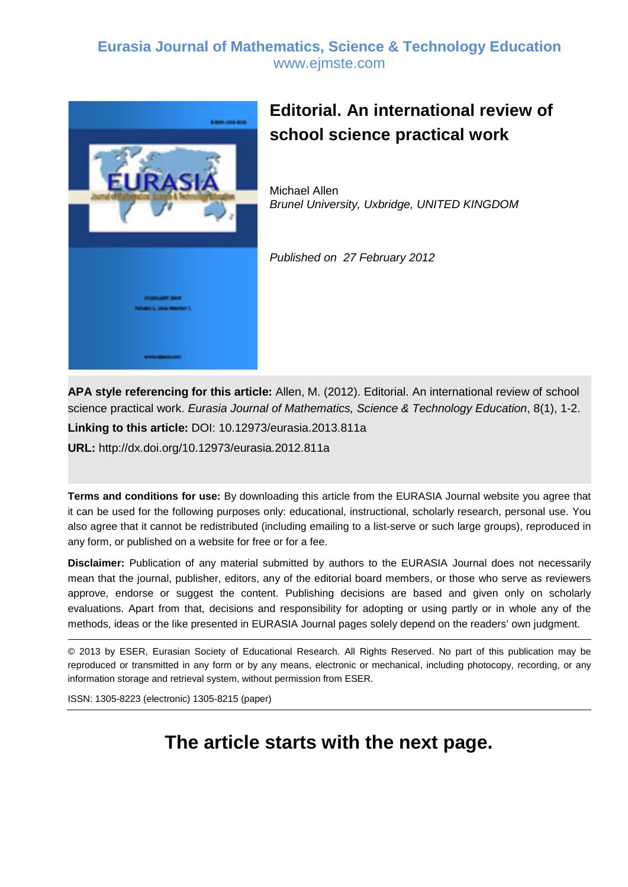### **Eurasia Journal of Mathematics, Science & Technology Education** www.ejmste.com



## **Editorial. An international review of school science practical work**

Michael Allen *Brunel University, Uxbridge, UNITED KINGDOM*

*Published on 27 February 2012*

**APA style referencing for this article:** Allen, M. (2012). Editorial. An international review of school science practical work. *Eurasia Journal of Mathematics, Science & Technology Education*, 8(1), 1-2.

**Linking to this article:** DOI: 10.12973/eurasia.2013.811a

**URL:** http://dx.doi.org/10.12973/eurasia.2012.811a

**Terms and conditions for use:** By downloading this article from the EURASIA Journal website you agree that it can be used for the following purposes only: educational, instructional, scholarly research, personal use. You also agree that it cannot be redistributed (including emailing to a list-serve or such large groups), reproduced in any form, or published on a website for free or for a fee.

**Disclaimer:** Publication of any material submitted by authors to the EURASIA Journal does not necessarily mean that the journal, publisher, editors, any of the editorial board members, or those who serve as reviewers approve, endorse or suggest the content. Publishing decisions are based and given only on scholarly evaluations. Apart from that, decisions and responsibility for adopting or using partly or in whole any of the methods, ideas or the like presented in EURASIA Journal pages solely depend on the readers' own judgment.

© 2013 by ESER, Eurasian Society of Educational Research. All Rights Reserved. No part of this publication may be reproduced or transmitted in any form or by any means, electronic or mechanical, including photocopy, recording, or any information storage and retrieval system, without permission from ESER.

ISSN: 1305-8223 (electronic) 1305-8215 (paper)

## **The article starts with the next page.**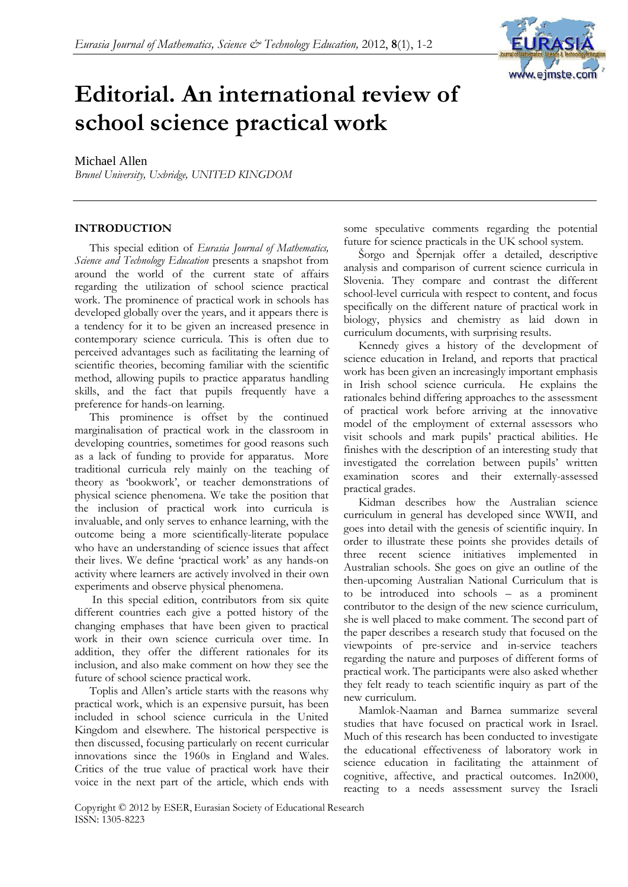

# **Editorial. An international review of school science practical work**

### Michael Allen

*Brunel University, Uxbridge, UNITED KINGDOM*

#### **INTRODUCTION**

This special edition of *Eurasia Journal of Mathematics, Science and Technology Education* presents a snapshot from around the world of the current state of affairs regarding the utilization of school science practical work. The prominence of practical work in schools has developed globally over the years, and it appears there is a tendency for it to be given an increased presence in contemporary science curricula. This is often due to perceived advantages such as facilitating the learning of scientific theories, becoming familiar with the scientific method, allowing pupils to practice apparatus handling skills, and the fact that pupils frequently have a preference for hands-on learning.

This prominence is offset by the continued marginalisation of practical work in the classroom in developing countries, sometimes for good reasons such as a lack of funding to provide for apparatus. More traditional curricula rely mainly on the teaching of theory as 'bookwork', or teacher demonstrations of physical science phenomena. We take the position that the inclusion of practical work into curricula is invaluable, and only serves to enhance learning, with the outcome being a more scientifically-literate populace who have an understanding of science issues that affect their lives. We define 'practical work' as any hands-on activity where learners are actively involved in their own experiments and observe physical phenomena.

In this special edition, contributors from six quite different countries each give a potted history of the changing emphases that have been given to practical work in their own science curricula over time. In addition, they offer the different rationales for its inclusion, and also make comment on how they see the future of school science practical work.

Toplis and Allen's article starts with the reasons why practical work, which is an expensive pursuit, has been included in school science curricula in the United Kingdom and elsewhere. The historical perspective is then discussed, focusing particularly on recent curricular innovations since the 1960s in England and Wales. Critics of the true value of practical work have their voice in the next part of the article, which ends with

some speculative comments regarding the potential future for science practicals in the UK school system.

Šorgo and Špernjak offer a detailed, descriptive analysis and comparison of current science curricula in Slovenia. They compare and contrast the different school-level curricula with respect to content, and focus specifically on the different nature of practical work in biology, physics and chemistry as laid down in curriculum documents, with surprising results.

Kennedy gives a history of the development of science education in Ireland, and reports that practical work has been given an increasingly important emphasis in Irish school science curricula. He explains the rationales behind differing approaches to the assessment of practical work before arriving at the innovative model of the employment of external assessors who visit schools and mark pupils' practical abilities. He finishes with the description of an interesting study that investigated the correlation between pupils' written examination scores and their externally-assessed practical grades.

Kidman describes how the Australian science curriculum in general has developed since WWII, and goes into detail with the genesis of scientific inquiry. In order to illustrate these points she provides details of three recent science initiatives implemented in Australian schools. She goes on give an outline of the then-upcoming Australian National Curriculum that is to be introduced into schools – as a prominent contributor to the design of the new science curriculum, she is well placed to make comment. The second part of the paper describes a research study that focused on the viewpoints of pre-service and in-service teachers regarding the nature and purposes of different forms of practical work. The participants were also asked whether they felt ready to teach scientific inquiry as part of the new curriculum.

Mamlok-Naaman and Barnea summarize several studies that have focused on practical work in Israel. Much of this research has been conducted to investigate the educational effectiveness of laboratory work in science education in facilitating the attainment of cognitive, affective, and practical outcomes. In2000, reacting to a needs assessment survey the Israeli